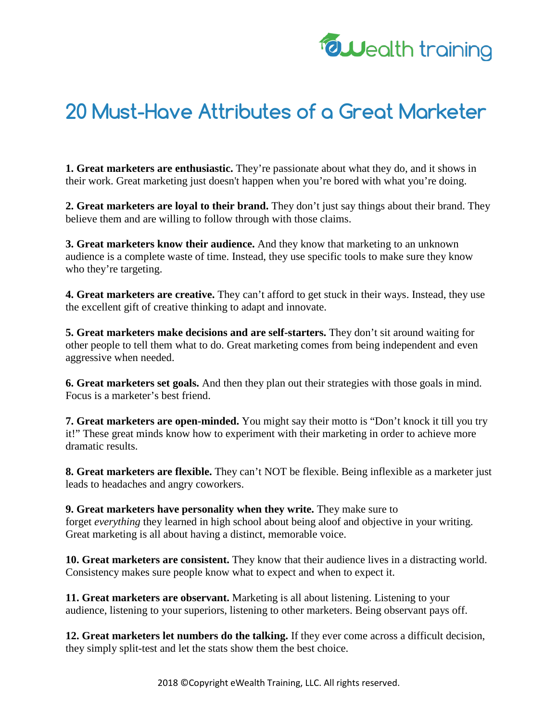

## **20 Must-Have Attributes of a Great Marketer**

**1. Great marketers are enthusiastic.** They're passionate about what they do, and it shows in their work. Great marketing just doesn't happen when you're bored with what you're doing.

**2. Great marketers are loyal to their brand.** They don't just say things about their brand. They believe them and are willing to follow through with those claims.

**3. Great marketers know their audience.** And they know that marketing to an unknown audience is a complete waste of time. Instead, they use specific tools to make sure they know who they're targeting.

**4. Great marketers are creative.** They can't afford to get stuck in their ways. Instead, they use the excellent gift of creative thinking to adapt and innovate.

**5. Great marketers make decisions and are self-starters.** They don't sit around waiting for other people to tell them what to do. Great marketing comes from being independent and even aggressive when needed.

**6. Great marketers set goals.** And then they plan out their strategies with those goals in mind. Focus is a marketer's best friend.

**7. Great marketers are open-minded.** You might say their motto is "Don't knock it till you try it!" These great minds know how to experiment with their marketing in order to achieve more dramatic results.

**8. Great marketers are flexible.** They can't NOT be flexible. Being inflexible as a marketer just leads to headaches and angry coworkers.

**9. Great marketers have personality when they write.** They make sure to forget *everything* they learned in high school about being aloof and objective in your writing. Great marketing is all about having a distinct, memorable voice.

**10. Great marketers are consistent.** They know that their audience lives in a distracting world. Consistency makes sure people know what to expect and when to expect it.

**11. Great marketers are observant.** Marketing is all about listening. Listening to your audience, listening to your superiors, listening to other marketers. Being observant pays off.

**12. Great marketers let numbers do the talking.** If they ever come across a difficult decision, they simply split-test and let the stats show them the best choice.